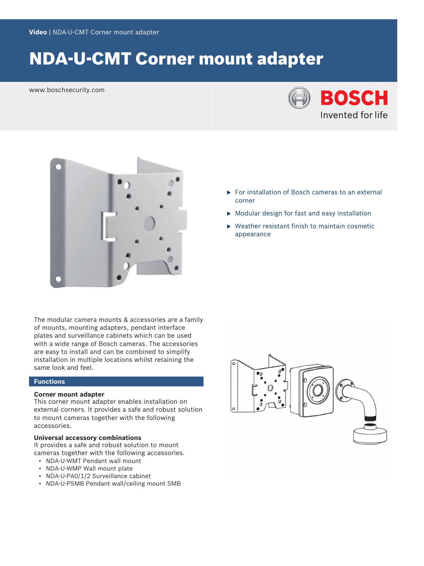# NDA-U-CMT Corner mount adapter

www.boschsecurity.com





The modular camera mounts & accessories are a family of mounts, mounting adapters, pendant interface plates and surveillance cabinets which can be used with a wide range of Bosch cameras. The accessories are easy to install and can be combined to simplify installation in multiple locations whilst retaining the same look and feel.

#### **Functions**

#### **Corner mount adapter**

This corner mount adapter enables installation on external corners. It provides a safe and robust solution to mount cameras together with the following accessories.

#### **Universal accessory combinations**

It provides a safe and robust solution to mount cameras together with the following accessories.

- NDA-U-WMT Pendant wall mount
- NDA-U-WMP Wall mount plate
- NDA-U-PA0/1/2 Surveillance cabinet
- NDA-U-PSMB Pendant wall/ceiling mount SMB
- $\blacktriangleright$  For installation of Bosch cameras to an external corner
- $\triangleright$  Modular design for fast and easy installation
- $\blacktriangleright$  Weather resistant finish to maintain cosmetic appearance

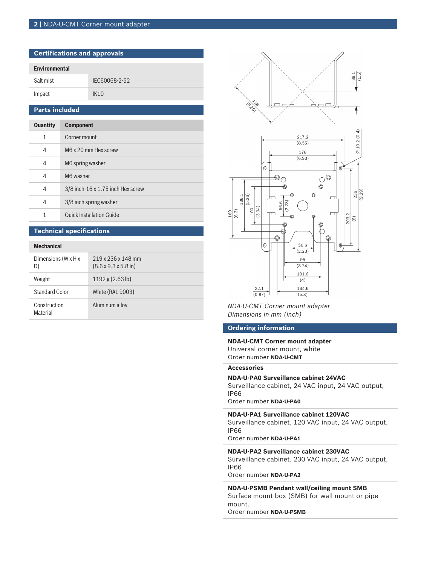#### **2** | NDA-U-CMT Corner mount adapter

| <b>Certifications and approvals</b> |               |  |
|-------------------------------------|---------------|--|
| <b>Environmental</b>                |               |  |
| Salt mist                           | IEC60068-2-52 |  |
| Impact                              | IK10          |  |
| <b>Parts included</b>               |               |  |

| Quantity | <b>Component</b>                  |
|----------|-----------------------------------|
| 1        | Corner mount                      |
| 4        | M6 x 20 mm Hex screw              |
| 4        | M6 spring washer                  |
| 4        | M6 washer                         |
| 4        | 3/8 inch-16 x 1.75 inch Hex screw |
| 4        | 3/8 inch spring washer            |
| 1        | <b>Quick Installation Guide</b>   |

#### **Technical specifications**

#### **Mechanical**

| Dimensions (W x H x<br>D) | 219 x 236 x 148 mm<br>$(8.6 \times 9.3 \times 5.8 \text{ in})$ |
|---------------------------|----------------------------------------------------------------|
| Weight                    | $1192$ g (2.63 lb)                                             |
| <b>Standard Color</b>     | <b>White (RAL 9003)</b>                                        |
| Construction<br>Material  | Aluminum alloy                                                 |



Aluminum alloy *NDA-U-CMT Corner mount adapter Dimensions in mm (inch)*

#### **Ordering information**

**NDA-U-CMT Corner mount adapter** Universal corner mount, white Order number **NDA-U-CMT**

#### **Accessories**

#### **NDA-U-PA0 Surveillance cabinet 24VAC**

Surveillance cabinet, 24 VAC input, 24 VAC output, IP66

Order number **NDA-U-PA0**

#### **NDA-U-PA1 Surveillance cabinet 120VAC**

Surveillance cabinet, 120 VAC input, 24 VAC output, IP66

Order number **NDA-U-PA1**

### **NDA-U-PA2 Surveillance cabinet 230VAC**

Surveillance cabinet, 230 VAC input, 24 VAC output, IP66

Order number **NDA-U-PA2**

**NDA-U-PSMB Pendant wall/ceiling mount SMB** Surface mount box (SMB) for wall mount or pipe mount.

Order number **NDA-U-PSMB**